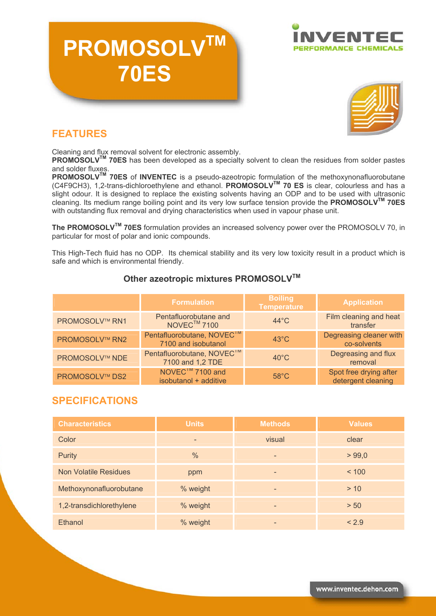# **PROMOSOLV 70ES**





## **FEATURES**

Cleaning and flux removal solvent for electronic assembly.

**PROMOSOLV™ 70ES** has been developed as a specialty solvent to clean the residues from solder pastes and solder fluxes.

**PROMOSOLVTM 70ES** of **INVENTEC** is a pseudo-azeotropic formulation of the methoxynonafluorobutane (C4F9CH3), 1,2-trans-dichloroethylene and ethanol. **PROMOSOLVTM 70 ES** is clear, colourless and has a slight odour. It is designed to replace the existing solvents having an ODP and to be used with ultrasonic cleaning. Its medium range boiling point and its very low surface tension provide the **PROMOSOLVTM 70ES** with outstanding flux removal and drying characteristics when used in vapour phase unit.

**The PROMOSOLVTM 70ES** formulation provides an increased solvency power over the PROMOSOLV 70, in particular for most of polar and ionic compounds.

This High-Tech fluid has no ODP. Its chemical stability and its very low toxicity result in a product which is safe and which is environmental friendly.

#### **Other azeotropic mixtures PROMOSOLV™**

|                       | <b>Formulation</b>                                            | <b>Boiling</b><br><b>Temperature</b> | <b>Application</b>                           |
|-----------------------|---------------------------------------------------------------|--------------------------------------|----------------------------------------------|
| <b>PROMOSOLV™ RN1</b> | Pentafluorobutane and<br>NOVEC <sup>™</sup> 7100              | $44^{\circ}$ C                       | Film cleaning and heat<br>transfer           |
| <b>PROMOSOLV™ RN2</b> | Pentafluorobutane, NOVEC <sup>1M</sup><br>7100 and isobutanol | $43^{\circ}$ C                       | Degreasing cleaner with<br>co-solvents       |
| <b>PROMOSOLV™ NDE</b> | Pentafluorobutane, NOVEC <sup>IM</sup><br>7100 and 1,2 TDE    | $40^{\circ}$ C                       | Degreasing and flux<br>removal               |
| <b>PROMOSOLV™ DS2</b> | NOVEC <sup>1M</sup> 7100 and<br>isobutanol + additive         | $58^{\circ}$ C                       | Spot free drying after<br>detergent cleaning |

## **SPECIFICATIONS**

| <b>Characteristics</b>       | <b>Units</b> | <b>Methods</b>           | <b>Values</b> |
|------------------------------|--------------|--------------------------|---------------|
| Color                        |              | visual                   | clear         |
| <b>Purity</b>                | $\%$         | $\overline{\phantom{a}}$ | > 99,0        |
| <b>Non Volatile Residues</b> | ppm          | -                        | < 100         |
| Methoxynonafluorobutane      | % weight     | $\overline{\phantom{a}}$ | > 10          |
| 1,2-transdichlorethylene     | % weight     |                          | > 50          |
| Ethanol                      | % weight     |                          | < 2.9         |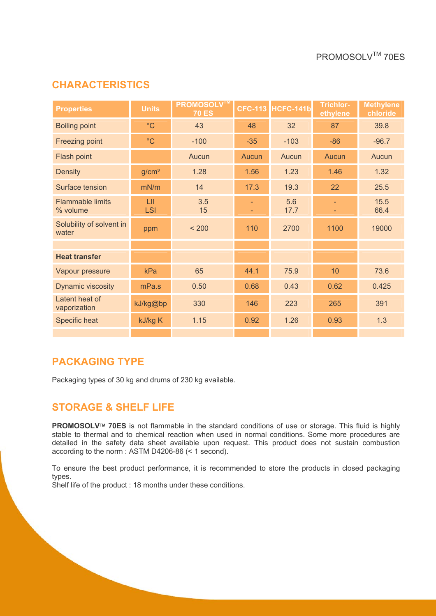### **CHARACTERISTICS**

| <b>Properties</b>                   | <b>Units</b>      | <b>PROMOSOLV™</b><br><b>70 ES</b> | <b>CFC-113</b>           | HCFC-141b   | <b>Trichlor-</b><br>ethylene | <b>Methylene</b><br>chloride |
|-------------------------------------|-------------------|-----------------------------------|--------------------------|-------------|------------------------------|------------------------------|
| <b>Boiling point</b>                | $^{\circ}$ C      | 43                                | 48                       | 32          | 87                           | 39.8                         |
| Freezing point                      | $^{\circ}$ C      | $-100$                            | $-35$                    | $-103$      | $-86$                        | $-96.7$                      |
| Flash point                         |                   | Aucun                             | Aucun                    | Aucun       | Aucun                        | Aucun                        |
| <b>Density</b>                      | g/cm <sup>3</sup> | 1.28                              | 1.56                     | 1.23        | 1.46                         | 1.32                         |
| Surface tension                     | mN/m              | 14                                | 17.3                     | 19.3        | 22                           | 25.5                         |
| <b>Flammable limits</b><br>% volume | LII<br><b>LSI</b> | 3.5<br>15                         | $\overline{\phantom{a}}$ | 5.6<br>17.7 |                              | 15.5<br>66.4                 |
| Solubility of solvent in<br>water   | ppm               | < 200                             | 110                      | 2700        | 1100                         | 19000                        |
|                                     |                   |                                   |                          |             |                              |                              |
| <b>Heat transfer</b>                |                   |                                   |                          |             |                              |                              |
| Vapour pressure                     | kPa               | 65                                | 44.1                     | 75.9        | 10                           | 73.6                         |
| Dynamic viscosity                   | mPa.s             | 0.50                              | 0.68                     | 0.43        | 0.62                         | 0.425                        |
| Latent heat of<br>vaporization      | kJ/kg@bp          | 330                               | 146                      | 223         | 265                          | 391                          |
| Specific heat                       | kJ/kg K           | 1.15                              | 0.92                     | 1.26        | 0.93                         | 1.3                          |
|                                     |                   |                                   |                          |             |                              |                              |

#### **PACKAGING TYPE**

Packaging types of 30 kg and drums of 230 kg available.

#### **STORAGE & SHELF LIFE**

**PROMOSOLV<sup>™</sup> 70ES** is not flammable in the standard conditions of use or storage. This fluid is highly stable to thermal and to chemical reaction when used in normal conditions. Some more procedures are detailed in the safety data sheet available upon request. This product does not sustain combustion according to the norm : ASTM D4206-86 (< 1 second).

To ensure the best product performance, it is recommended to store the products in closed packaging types.

Shelf life of the product : 18 months under these conditions.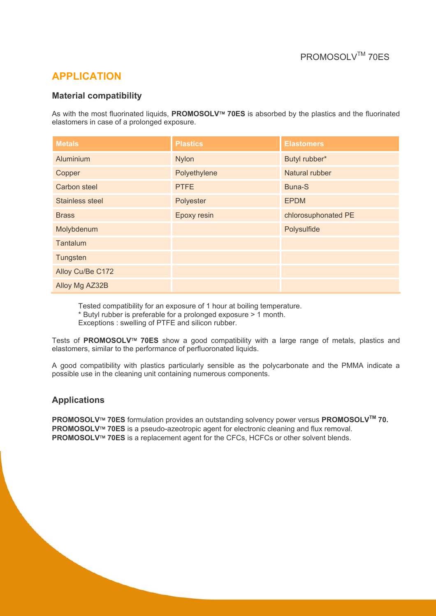## **APPLICATION**

#### **Material compatibility**

As with the most fluorinated liquids, PROMOSOLV<sup>™</sup> 70ES is absorbed by the plastics and the fluorinated elastomers in case of a prolonged exposure.

| <b>Metals</b>          | <b>Plastics</b> | <b>Elastomers</b>   |
|------------------------|-----------------|---------------------|
| Aluminium              | <b>Nylon</b>    | Butyl rubber*       |
| Copper                 | Polyethylene    | Natural rubber      |
| <b>Carbon steel</b>    | <b>PTFE</b>     | Buna-S              |
| <b>Stainless steel</b> | Polyester       | <b>EPDM</b>         |
| <b>Brass</b>           | Epoxy resin     | chlorosuphonated PE |
| Molybdenum             |                 | Polysulfide         |
| Tantalum               |                 |                     |
| Tungsten               |                 |                     |
| Alloy Cu/Be C172       |                 |                     |
| Alloy Mg AZ32B         |                 |                     |

Tested compatibility for an exposure of 1 hour at boiling temperature. \* Butyl rubber is preferable for a prolonged exposure > 1 month. Exceptions : swelling of PTFE and silicon rubber.

Tests of PROMOSOLV<sup>™</sup> 70ES show a good compatibility with a large range of metals, plastics and elastomers, similar to the performance of perfluoronated liquids.

A good compatibility with plastics particularly sensible as the polycarbonate and the PMMA indicate a possible use in the cleaning unit containing numerous components.

#### **Applications**

**PROMOSOLV<sup>™</sup> 70ES** formulation provides an outstanding solvency power versus **PROMOSOLV<sup>™</sup> 70. PROMOSOLV<sup>™</sup> 70ES** is a pseudo-azeotropic agent for electronic cleaning and flux removal. **PROMOSOLV<sup>™</sup> 70ES** is a replacement agent for the CFCs, HCFCs or other solvent blends.